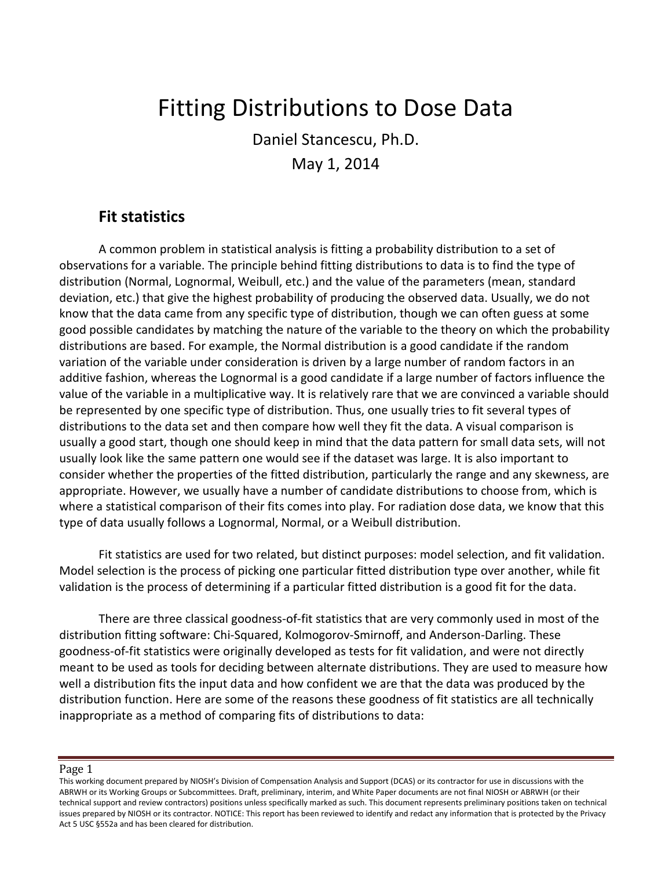# Fitting Distributions to Dose Data

Daniel Stancescu, Ph.D. May 1, 2014

### **Fit statistics**

A common problem in statistical analysis is fitting a probability distribution to a set of observations for a variable. The principle behind fitting distributions to data is to find the type of distribution (Normal, Lognormal, Weibull, etc.) and the value of the parameters (mean, standard deviation, etc.) that give the highest probability of producing the observed data. Usually, we do not know that the data came from any specific type of distribution, though we can often guess at some good possible candidates by matching the nature of the variable to the theory on which the probability distributions are based. For example, the Normal distribution is a good candidate if the random variation of the variable under consideration is driven by a large number of random factors in an additive fashion, whereas the Lognormal is a good candidate if a large number of factors influence the value of the variable in a multiplicative way. It is relatively rare that we are convinced a variable should be represented by one specific type of distribution. Thus, one usually tries to fit several types of distributions to the data set and then compare how well they fit the data. A visual comparison is usually a good start, though one should keep in mind that the data pattern for small data sets, will not usually look like the same pattern one would see if the dataset was large. It is also important to consider whether the properties of the fitted distribution, particularly the range and any skewness, are appropriate. However, we usually have a number of candidate distributions to choose from, which is where a statistical comparison of their fits comes into play. For radiation dose data, we know that this type of data usually follows a Lognormal, Normal, or a Weibull distribution.

Fit statistics are used for two related, but distinct purposes: model selection, and fit validation. Model selection is the process of picking one particular fitted distribution type over another, while fit validation is the process of determining if a particular fitted distribution is a good fit for the data.

There are three classical goodness-of-fit statistics that are very commonly used in most of the distribution fitting software: Chi-Squared, Kolmogorov-Smirnoff, and Anderson-Darling. These goodness-of-fit statistics were originally developed as tests for fit validation, and were not directly meant to be used as tools for deciding between alternate distributions. They are used to measure how well a distribution fits the input data and how confident we are that the data was produced by the distribution function. Here are some of the reasons these goodness of fit statistics are all technically inappropriate as a method of comparing fits of distributions to data:

This working document prepared by NIOSH's Division of Compensation Analysis and Support (DCAS) or its contractor for use in discussions with the ABRWH or its Working Groups or Subcommittees. Draft, preliminary, interim, and White Paper documents are not final NIOSH or ABRWH (or their technical support and review contractors) positions unless specifically marked as such. This document represents preliminary positions taken on technical issues prepared by NIOSH or its contractor. NOTICE: This report has been reviewed to identify and redact any information that is protected by the Privacy Act 5 USC §552a and has been cleared for distribution.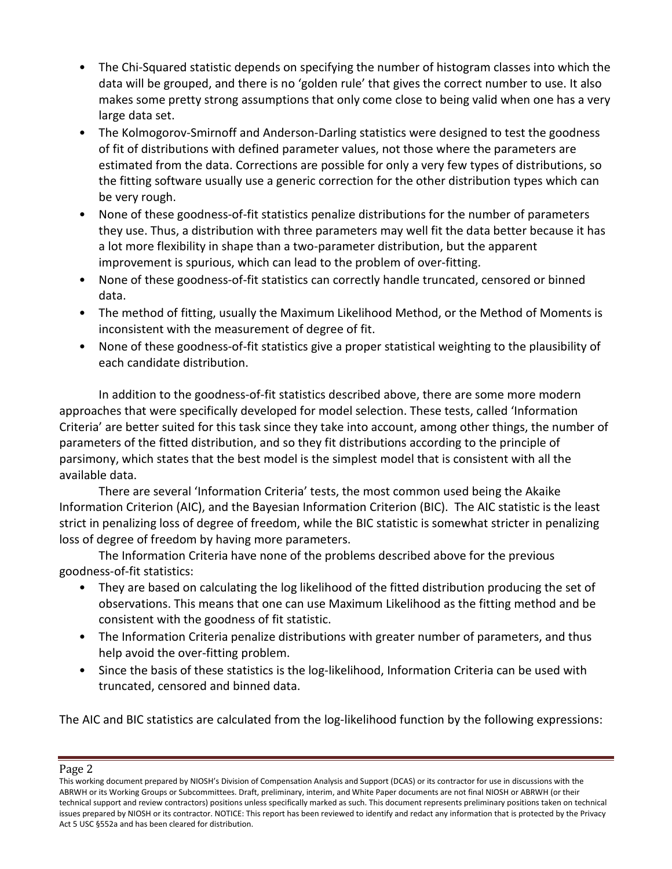- The Chi-Squared statistic depends on specifying the number of histogram classes into which the data will be grouped, and there is no 'golden rule' that gives the correct number to use. It also makes some pretty strong assumptions that only come close to being valid when one has a very large data set.
- The Kolmogorov-Smirnoff and Anderson-Darling statistics were designed to test the goodness of fit of distributions with defined parameter values, not those where the parameters are estimated from the data. Corrections are possible for only a very few types of distributions, so the fitting software usually use a generic correction for the other distribution types which can be very rough.
- None of these goodness-of-fit statistics penalize distributions for the number of parameters they use. Thus, a distribution with three parameters may well fit the data better because it has a lot more flexibility in shape than a two-parameter distribution, but the apparent improvement is spurious, which can lead to the problem of over-fitting.
- None of these goodness-of-fit statistics can correctly handle truncated, censored or binned data.
- The method of fitting, usually the Maximum Likelihood Method, or the Method of Moments is inconsistent with the measurement of degree of fit.
- None of these goodness-of-fit statistics give a proper statistical weighting to the plausibility of each candidate distribution.

In addition to the goodness-of-fit statistics described above, there are some more modern approaches that were specifically developed for model selection. These tests, called 'Information Criteria' are better suited for this task since they take into account, among other things, the number of parameters of the fitted distribution, and so they fit distributions according to the principle of parsimony, which states that the best model is the simplest model that is consistent with all the available data.

There are several 'Information Criteria' tests, the most common used being the Akaike Information Criterion (AIC), and the Bayesian Information Criterion (BIC). The AIC statistic is the least strict in penalizing loss of degree of freedom, while the BIC statistic is somewhat stricter in penalizing loss of degree of freedom by having more parameters.

The Information Criteria have none of the problems described above for the previous goodness-of-fit statistics:

- They are based on calculating the log likelihood of the fitted distribution producing the set of observations. This means that one can use Maximum Likelihood as the fitting method and be consistent with the goodness of fit statistic.
- The Information Criteria penalize distributions with greater number of parameters, and thus help avoid the over-fitting problem.
- Since the basis of these statistics is the log-likelihood, Information Criteria can be used with truncated, censored and binned data.

The AIC and BIC statistics are calculated from the log-likelihood function by the following expressions:

This working document prepared by NIOSH's Division of Compensation Analysis and Support (DCAS) or its contractor for use in discussions with the ABRWH or its Working Groups or Subcommittees. Draft, preliminary, interim, and White Paper documents are not final NIOSH or ABRWH (or their technical support and review contractors) positions unless specifically marked as such. This document represents preliminary positions taken on technical issues prepared by NIOSH or its contractor. NOTICE: This report has been reviewed to identify and redact any information that is protected by the Privacy Act 5 USC §552a and has been cleared for distribution.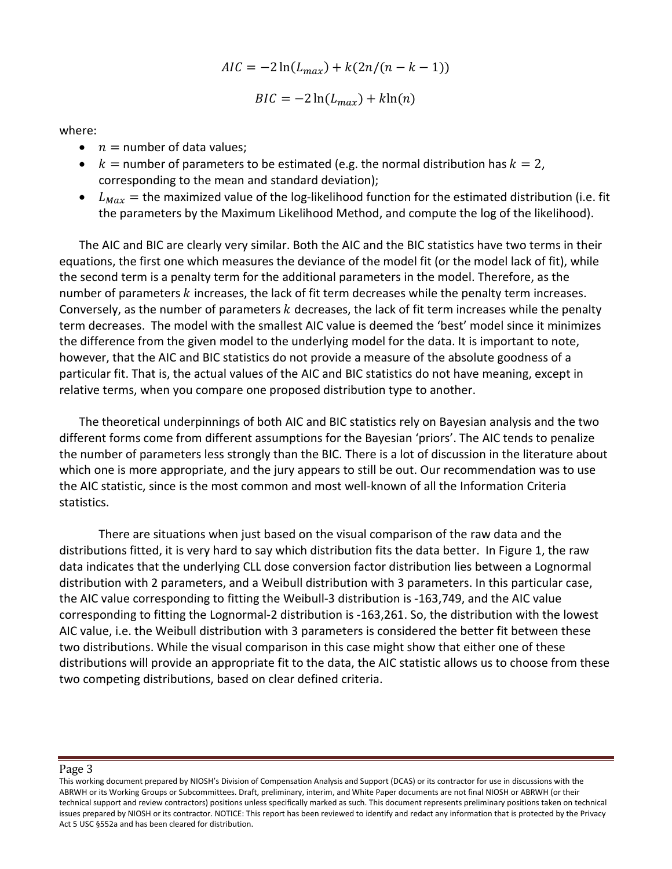$$
AIC = -2\ln(L_{max}) + k(2n/(n-k-1))
$$

$$
BIC = -2\ln(L_{max}) + k\ln(n)
$$

where:

- $n =$  number of data values;
- $k =$  number of parameters to be estimated (e.g. the normal distribution has  $k = 2$ , corresponding to the mean and standard deviation);
- $L_{Max}$  = the maximized value of the log-likelihood function for the estimated distribution (i.e. fit the parameters by the Maximum Likelihood Method, and compute the log of the likelihood).

The AIC and BIC are clearly very similar. Both the AIC and the BIC statistics have two terms in their equations, the first one which measures the deviance of the model fit (or the model lack of fit), while the second term is a penalty term for the additional parameters in the model. Therefore, as the number of parameters  $k$  increases, the lack of fit term decreases while the penalty term increases. Conversely, as the number of parameters  $k$  decreases, the lack of fit term increases while the penalty term decreases. The model with the smallest AIC value is deemed the 'best' model since it minimizes the difference from the given model to the underlying model for the data. It is important to note, however, that the AIC and BIC statistics do not provide a measure of the absolute goodness of a particular fit. That is, the actual values of the AIC and BIC statistics do not have meaning, except in relative terms, when you compare one proposed distribution type to another.

The theoretical underpinnings of both AIC and BIC statistics rely on Bayesian analysis and the two different forms come from different assumptions for the Bayesian 'priors'. The AIC tends to penalize the number of parameters less strongly than the BIC. There is a lot of discussion in the literature about which one is more appropriate, and the jury appears to still be out. Our recommendation was to use the AIC statistic, since is the most common and most well-known of all the Information Criteria statistics.

There are situations when just based on the visual comparison of the raw data and the distributions fitted, it is very hard to say which distribution fits the data better. In Figure 1, the raw data indicates that the underlying CLL dose conversion factor distribution lies between a Lognormal distribution with 2 parameters, and a Weibull distribution with 3 parameters. In this particular case, the AIC value corresponding to fitting the Weibull-3 distribution is -163,749, and the AIC value corresponding to fitting the Lognormal-2 distribution is -163,261. So, the distribution with the lowest AIC value, i.e. the Weibull distribution with 3 parameters is considered the better fit between these two distributions. While the visual comparison in this case might show that either one of these distributions will provide an appropriate fit to the data, the AIC statistic allows us to choose from these two competing distributions, based on clear defined criteria.

This working document prepared by NIOSH's Division of Compensation Analysis and Support (DCAS) or its contractor for use in discussions with the ABRWH or its Working Groups or Subcommittees. Draft, preliminary, interim, and White Paper documents are not final NIOSH or ABRWH (or their technical support and review contractors) positions unless specifically marked as such. This document represents preliminary positions taken on technical issues prepared by NIOSH or its contractor. NOTICE: This report has been reviewed to identify and redact any information that is protected by the Privacy Act 5 USC §552a and has been cleared for distribution.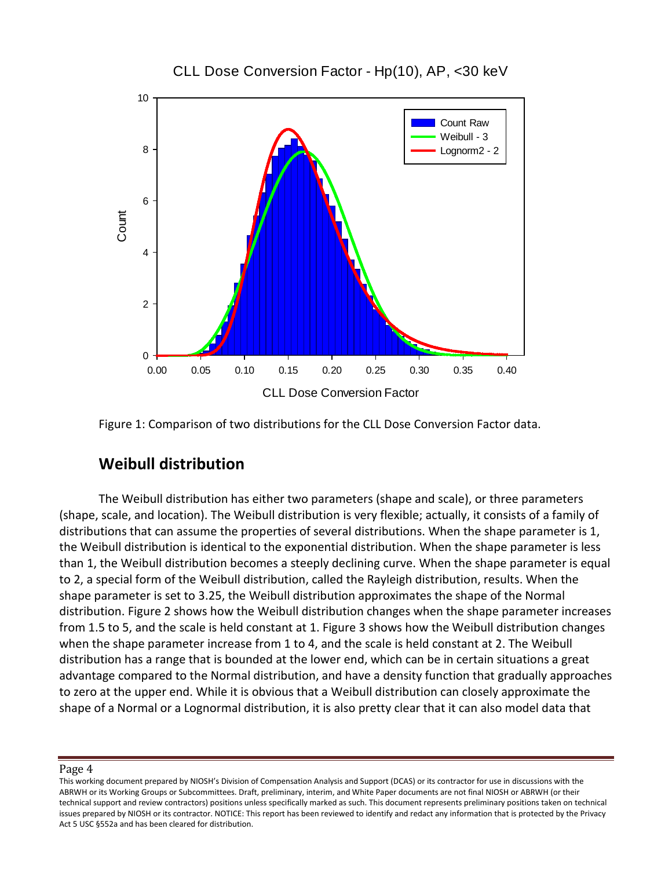

### CLL Dose Conversion Factor - Hp(10), AP, <30 keV

Figure 1: Comparison of two distributions for the CLL Dose Conversion Factor data.

# **Weibull distribution**

The Weibull distribution has either two parameters (shape and scale), or three parameters (shape, scale, and location). The Weibull distribution is very flexible; actually, it consists of a family of distributions that can assume the properties of several distributions. When the shape parameter is 1, the Weibull distribution is identical to the exponential distribution. When the shape parameter is less than 1, the Weibull distribution becomes a steeply declining curve. When the shape parameter is equal to 2, a special form of the Weibull distribution, called the Rayleigh distribution, results. When the shape parameter is set to 3.25, the Weibull distribution approximates the shape of the Normal distribution. Figure 2 shows how the Weibull distribution changes when the shape parameter increases from 1.5 to 5, and the scale is held constant at 1. Figure 3 shows how the Weibull distribution changes when the shape parameter increase from 1 to 4, and the scale is held constant at 2. The Weibull distribution has a range that is bounded at the lower end, which can be in certain situations a great advantage compared to the Normal distribution, and have a density function that gradually approaches to zero at the upper end. While it is obvious that a Weibull distribution can closely approximate the shape of a Normal or a Lognormal distribution, it is also pretty clear that it can also model data that

This working document prepared by NIOSH's Division of Compensation Analysis and Support (DCAS) or its contractor for use in discussions with the ABRWH or its Working Groups or Subcommittees. Draft, preliminary, interim, and White Paper documents are not final NIOSH or ABRWH (or their technical support and review contractors) positions unless specifically marked as such. This document represents preliminary positions taken on technical issues prepared by NIOSH or its contractor. NOTICE: This report has been reviewed to identify and redact any information that is protected by the Privacy Act 5 USC §552a and has been cleared for distribution.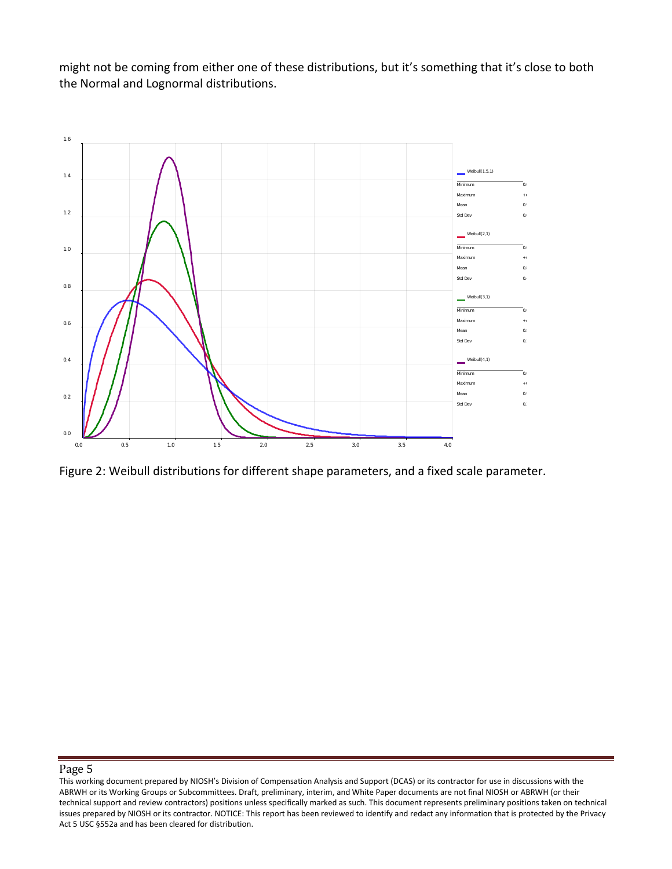might not be coming from either one of these distributions, but it's something that it's close to both the Normal and Lognormal distributions.



Figure 2: Weibull distributions for different shape parameters, and a fixed scale parameter.

This working document prepared by NIOSH's Division of Compensation Analysis and Support (DCAS) or its contractor for use in discussions with the ABRWH or its Working Groups or Subcommittees. Draft, preliminary, interim, and White Paper documents are not final NIOSH or ABRWH (or their technical support and review contractors) positions unless specifically marked as such. This document represents preliminary positions taken on technical issues prepared by NIOSH or its contractor. NOTICE: This report has been reviewed to identify and redact any information that is protected by the Privacy Act 5 USC §552a and has been cleared for distribution.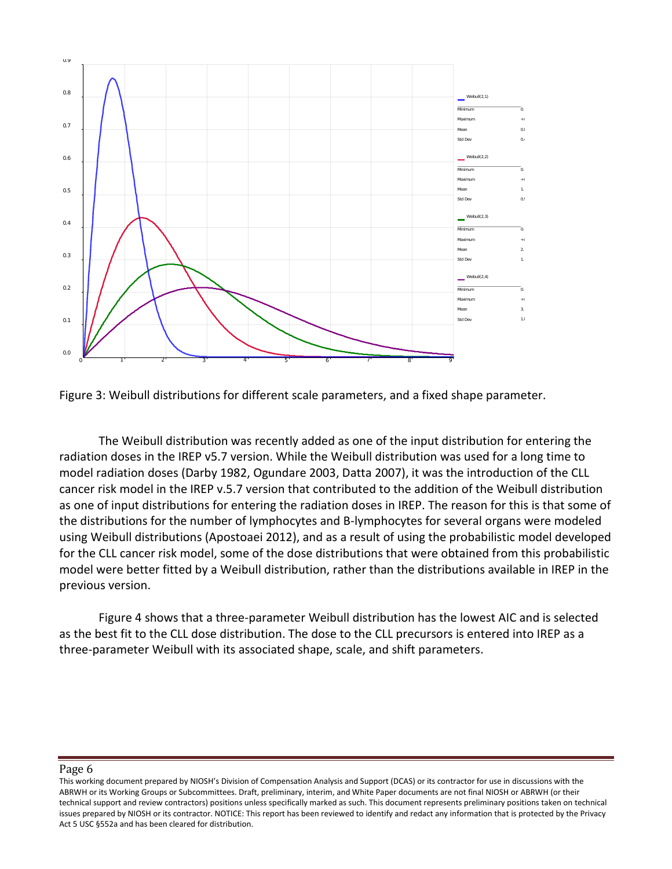

Figure 3: Weibull distributions for different scale parameters, and a fixed shape parameter.

The Weibull distribution was recently added as one of the input distribution for entering the radiation doses in the IREP v5.7 version. While the Weibull distribution was used for a long time to model radiation doses (Darby 1982, Ogundare 2003, Datta 2007), it was the introduction of the CLL cancer risk model in the IREP v.5.7 version that contributed to the addition of the Weibull distribution as one of input distributions for entering the radiation doses in IREP. The reason for this is that some of the distributions for the number of lymphocytes and B-lymphocytes for several organs were modeled using Weibull distributions (Apostoaei 2012), and as a result of using the probabilistic model developed for the CLL cancer risk model, some of the dose distributions that were obtained from this probabilistic model were better fitted by a Weibull distribution, rather than the distributions available in IREP in the previous version.

Figure 4 shows that a three-parameter Weibull distribution has the lowest AIC and is selected as the best fit to the CLL dose distribution. The dose to the CLL precursors is entered into IREP as a three-parameter Weibull with its associated shape, scale, and shift parameters.

This working document prepared by NIOSH's Division of Compensation Analysis and Support (DCAS) or its contractor for use in discussions with the ABRWH or its Working Groups or Subcommittees. Draft, preliminary, interim, and White Paper documents are not final NIOSH or ABRWH (or their technical support and review contractors) positions unless specifically marked as such. This document represents preliminary positions taken on technical issues prepared by NIOSH or its contractor. NOTICE: This report has been reviewed to identify and redact any information that is protected by the Privacy Act 5 USC §552a and has been cleared for distribution.